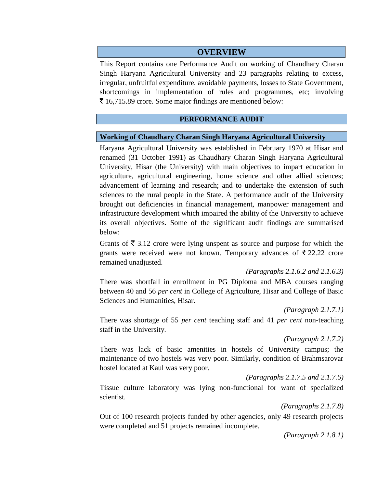## **OVERVIEW**

This Report contains one Performance Audit on working of Chaudhary Charan Singh Haryana Agricultural University and 23 paragraphs relating to excess, irregular, unfruitful expenditure, avoidable payments, losses to State Government, shortcomings in implementation of rules and programmes, etc; involving  $\bar{\tau}$  16,715.89 crore. Some major findings are mentioned below:

#### **PERFORMANCE AUDIT**

#### **Working of Chaudhary Charan Singh Haryana Agricultural University**

Haryana Agricultural University was established in February 1970 at Hisar and renamed (31 October 1991) as Chaudhary Charan Singh Haryana Agricultural University, Hisar (the University) with main objectives to impart education in agriculture, agricultural engineering, home science and other allied sciences; advancement of learning and research; and to undertake the extension of such sciences to the rural people in the State. A performance audit of the University brought out deficiencies in financial management, manpower management and infrastructure development which impaired the ability of the University to achieve its overall objectives. Some of the significant audit findings are summarised below:

Grants of  $\bar{\xi}$  3.12 crore were lying unspent as source and purpose for which the grants were received were not known. Temporary advances of  $\bar{\tau}$  22.22 crore remained unadjusted.

*(Paragraphs 2.1.6.2 and 2.1.6.3)*

There was shortfall in enrollment in PG Diploma and MBA courses ranging between 40 and 56 *per cent* in College of Agriculture, Hisar and College of Basic Sciences and Humanities, Hisar.

*(Paragraph 2.1.7.1)*

There was shortage of 55 *per cent* teaching staff and 41 *per cent* non-teaching staff in the University.

#### *(Paragraph 2.1.7.2)*

There was lack of basic amenities in hostels of University campus; the maintenance of two hostels was very poor. Similarly, condition of Brahmsarovar hostel located at Kaul was very poor.

*(Paragraphs 2.1.7.5 and 2.1.7.6)*

Tissue culture laboratory was lying non-functional for want of specialized scientist.

*(Paragraphs 2.1.7.8)*

Out of 100 research projects funded by other agencies, only 49 research projects were completed and 51 projects remained incomplete.

*(Paragraph 2.1.8.1)*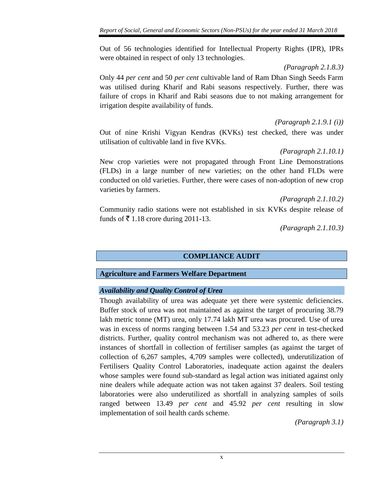Out of 56 technologies identified for Intellectual Property Rights (IPR), IPRs were obtained in respect of only 13 technologies.

*(Paragraph 2.1.8.3)*

Only 44 *per cent* and 50 *per cent* cultivable land of Ram Dhan Singh Seeds Farm was utilised during Kharif and Rabi seasons respectively. Further, there was failure of crops in Kharif and Rabi seasons due to not making arrangement for irrigation despite availability of funds.

*(Paragraph 2.1.9.1 (i))*

Out of nine Krishi Vigyan Kendras (KVKs) test checked, there was under utilisation of cultivable land in five KVKs.

*(Paragraph 2.1.10.1)*

New crop varieties were not propagated through Front Line Demonstrations (FLDs) in a large number of new varieties; on the other hand FLDs were conducted on old varieties. Further, there were cases of non-adoption of new crop varieties by farmers.

*(Paragraph 2.1.10.2)*

Community radio stations were not established in six KVKs despite release of funds of  $\bar{\mathfrak{g}}$  1.18 crore during 2011-13.

*(Paragraph 2.1.10.3)*

**COMPLIANCE AUDIT**

## **Agriculture and Farmers Welfare Department**

## *Availability and Quality Control of Urea*

Though availability of urea was adequate yet there were systemic deficiencies. Buffer stock of urea was not maintained as against the target of procuring 38.79 lakh metric tonne (MT) urea, only 17.74 lakh MT urea was procured. Use of urea was in excess of norms ranging between 1.54 and 53.23 *per cent* in test-checked districts. Further, quality control mechanism was not adhered to, as there were instances of shortfall in collection of fertiliser samples (as against the target of collection of 6,267 samples, 4,709 samples were collected), underutilization of Fertilisers Quality Control Laboratories, inadequate action against the dealers whose samples were found sub-standard as legal action was initiated against only nine dealers while adequate action was not taken against 37 dealers. Soil testing laboratories were also underutilized as shortfall in analyzing samples of soils ranged between 13.49 *per cent* and 45.92 *per cent* resulting in slow implementation of soil health cards scheme.

*(Paragraph 3.1)*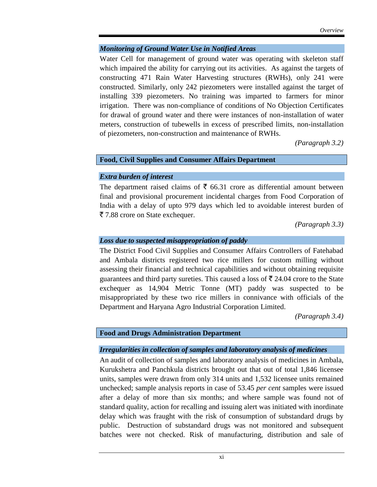#### *Monitoring of Ground Water Use in Notified Areas*

Water Cell for management of ground water was operating with skeleton staff which impaired the ability for carrying out its activities. As against the targets of constructing 471 Rain Water Harvesting structures (RWHs), only 241 were constructed. Similarly, only 242 piezometers were installed against the target of installing 339 piezometers. No training was imparted to farmers for minor irrigation. There was non-compliance of conditions of No Objection Certificates for drawal of ground water and there were instances of non-installation of water meters, construction of tubewells in excess of prescribed limits, non-installation of piezometers, non-construction and maintenance of RWHs.

*(Paragraph 3.2)*

## **Food, Civil Supplies and Consumer Affairs Department**

#### *Extra burden of interest*

The department raised claims of  $\bar{\xi}$  66.31 crore as differential amount between final and provisional procurement incidental charges from Food Corporation of India with a delay of upto 979 days which led to avoidable interest burden of ` 7.88 crore on State exchequer.

*(Paragraph 3.3)*

#### *Loss due to suspected misappropriation of paddy*

The District Food Civil Supplies and Consumer Affairs Controllers of Fatehabad and Ambala districts registered two rice millers for custom milling without assessing their financial and technical capabilities and without obtaining requisite guarantees and third party sureties. This caused a loss of  $\bar{\xi}$  24.04 crore to the State exchequer as 14,904 Metric Tonne (MT) paddy was suspected to be misappropriated by these two rice millers in connivance with officials of the Department and Haryana Agro Industrial Corporation Limited.

*(Paragraph 3.4)*

#### **Food and Drugs Administration Department**

#### *Irregularities in collection of samples and laboratory analysis of medicines*

An audit of collection of samples and laboratory analysis of medicines in Ambala, Kurukshetra and Panchkula districts brought out that out of total 1,846 licensee units, samples were drawn from only 314 units and 1,532 licensee units remained unchecked; sample analysis reports in case of 53.45 *per cent* samples were issued after a delay of more than six months; and where sample was found not of standard quality, action for recalling and issuing alert was initiated with inordinate delay which was fraught with the risk of consumption of substandard drugs by public. Destruction of substandard drugs was not monitored and subsequent batches were not checked. Risk of manufacturing, distribution and sale of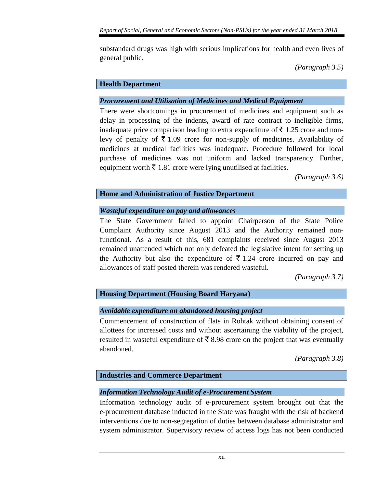substandard drugs was high with serious implications for health and even lives of general public.

*(Paragraph 3.5)*

## **Health Department**

## *Procurement and Utilisation of Medicines and Medical Equipment*

There were shortcomings in procurement of medicines and equipment such as delay in processing of the indents, award of rate contract to ineligible firms, inadequate price comparison leading to extra expenditure of  $\bar{\tau}$  1.25 crore and nonlevy of penalty of  $\bar{\bar{\xi}}$  1.09 crore for non-supply of medicines. Availability of medicines at medical facilities was inadequate. Procedure followed for local purchase of medicines was not uniform and lacked transparency. Further, equipment worth  $\bar{\tau}$  1.81 crore were lying unutilised at facilities.

*(Paragraph 3.6)*

## **Home and Administration of Justice Department**

## *Wasteful expenditure on pay and allowances*

The State Government failed to appoint Chairperson of the State Police Complaint Authority since August 2013 and the Authority remained nonfunctional. As a result of this, 681 complaints received since August 2013 remained unattended which not only defeated the legislative intent for setting up the Authority but also the expenditure of  $\bar{\xi}$  1.24 crore incurred on pay and allowances of staff posted therein was rendered wasteful.

*(Paragraph 3.7)*

## **Housing Department (Housing Board Haryana)**

## *Avoidable expenditure on abandoned housing project*

Commencement of construction of flats in Rohtak without obtaining consent of allottees for increased costs and without ascertaining the viability of the project, resulted in wasteful expenditure of  $\bar{\bar{\xi}}$  8.98 crore on the project that was eventually abandoned.

*(Paragraph 3.8)*

## **Industries and Commerce Department**

## *Information Technology Audit of e-Procurement System*

Information technology audit of e-procurement system brought out that the e-procurement database inducted in the State was fraught with the risk of backend interventions due to non-segregation of duties between database administrator and system administrator. Supervisory review of access logs has not been conducted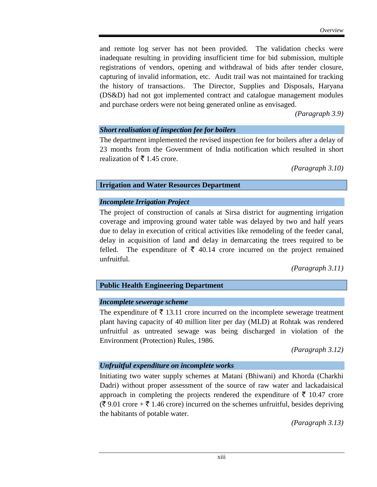and remote log server has not been provided. The validation checks were inadequate resulting in providing insufficient time for bid submission, multiple registrations of vendors, opening and withdrawal of bids after tender closure, capturing of invalid information, etc. Audit trail was not maintained for tracking the history of transactions. The Director, Supplies and Disposals, Haryana (DS&D) had not got implemented contract and catalogue management modules and purchase orders were not being generated online as envisaged.

*(Paragraph 3.9)*

#### *Short realisation of inspection fee for boilers*

The department implemented the revised inspection fee for boilers after a delay of 23 months from the Government of India notification which resulted in short realization of  $\bar{\bar{\xi}}$  1.45 crore.

*(Paragraph 3.10)*

## **Irrigation and Water Resources Department**

## *Incomplete Irrigation Project*

The project of construction of canals at Sirsa district for augmenting irrigation coverage and improving ground water table was delayed by two and half years due to delay in execution of critical activities like remodeling of the feeder canal, delay in acquisition of land and delay in demarcating the trees required to be felled. The expenditure of  $\bar{\xi}$  40.14 crore incurred on the project remained unfruitful.

*(Paragraph 3.11)*

## **Public Health Engineering Department**

## *Incomplete sewerage scheme*

The expenditure of  $\bar{\xi}$  13.11 crore incurred on the incomplete sewerage treatment plant having capacity of 40 million liter per day (MLD) at Rohtak was rendered unfruitful as untreated sewage was being discharged in violation of the Environment (Protection) Rules, 1986.

*(Paragraph 3.12)*

## *Unfruitful expenditure on incomplete works*

Initiating two water supply schemes at Matani (Bhiwani) and Khorda (Charkhi Dadri) without proper assessment of the source of raw water and lackadaisical approach in completing the projects rendered the expenditure of  $\bar{\tau}$  10.47 crore  $(\bar{\mathcal{F}} 9.01 \text{ core} + \bar{\mathcal{F}} 1.46 \text{ core})$  incurred on the schemes unfruitful, besides depriving the habitants of potable water.

*(Paragraph 3.13)*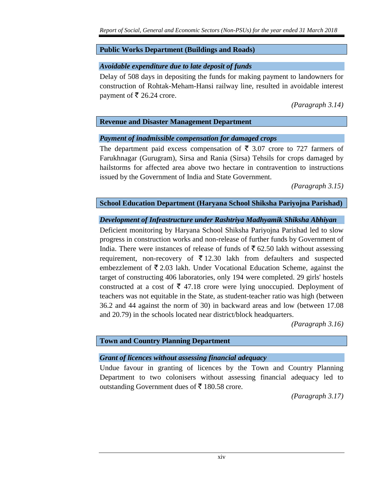## **Public Works Department (Buildings and Roads)**

## *Avoidable expenditure due to late deposit of funds*

Delay of 508 days in depositing the funds for making payment to landowners for construction of Rohtak-Meham-Hansi railway line, resulted in avoidable interest payment of  $\bar{\bar{\xi}}$  26.24 crore.

*(Paragraph 3.14)*

## **Revenue and Disaster Management Department**

## *Payment of inadmissible compensation for damaged crops*

The department paid excess compensation of  $\bar{\xi}$  3.07 crore to 727 farmers of Farukhnagar (Gurugram), Sirsa and Rania (Sirsa) Tehsils for crops damaged by hailstorms for affected area above two hectare in contravention to instructions issued by the Government of India and State Government.

*(Paragraph 3.15)*

## **School Education Department (Haryana School Shiksha Pariyojna Parishad)**

# *Development of Infrastructure under Rashtriya Madhyamik Shiksha Abhiyan*

Deficient monitoring by Haryana School Shiksha Pariyojna Parishad led to slow progress in construction works and non-release of further funds by Government of India. There were instances of release of funds of  $\bar{\tau}$  62.50 lakh without assessing requirement, non-recovery of  $\bar{\tau}$  12.30 lakh from defaulters and suspected embezzlement of  $\bar{\xi}$  2.03 lakh. Under Vocational Education Scheme, against the target of constructing 406 laboratories, only 194 were completed. 29 girls' hostels constructed at a cost of  $\bar{\xi}$  47.18 crore were lying unoccupied. Deployment of teachers was not equitable in the State, as student-teacher ratio was high (between 36.2 and 44 against the norm of 30) in backward areas and low (between 17.08 and 20.79) in the schools located near district/block headquarters.

*(Paragraph 3.16)*

# **Town and Country Planning Department**

## *Grant of licences without assessing financial adequacy*

Undue favour in granting of licences by the Town and Country Planning Department to two colonisers without assessing financial adequacy led to outstanding Government dues of  $\bar{\tau}$  180.58 crore.

*(Paragraph 3.17)*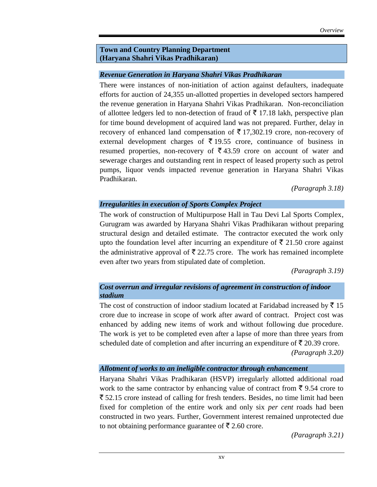#### **Town and Country Planning Department (Haryana Shahri Vikas Pradhikaran)**

#### *Revenue Generation in Haryana Shahri Vikas Pradhikaran*

There were instances of non-initiation of action against defaulters, inadequate efforts for auction of 24,355 un-allotted properties in developed sectors hampered the revenue generation in Haryana Shahri Vikas Pradhikaran. Non-reconciliation of allottee ledgers led to non-detection of fraud of  $\bar{\tau}$  17.18 lakh, perspective plan for time bound development of acquired land was not prepared. Further, delay in recovery of enhanced land compensation of  $\bar{\tau}$  17,302.19 crore, non-recovery of external development charges of  $\bar{\tau}$  19.55 crore, continuance of business in resumed properties, non-recovery of  $\bar{\bar{\zeta}}$  43.59 crore on account of water and sewerage charges and outstanding rent in respect of leased property such as petrol pumps, liquor vends impacted revenue generation in Haryana Shahri Vikas Pradhikaran.

*(Paragraph 3.18)*

## *Irregularities in execution of Sports Complex Project*

The work of construction of Multipurpose Hall in Tau Devi Lal Sports Complex, Gurugram was awarded by Haryana Shahri Vikas Pradhikaran without preparing structural design and detailed estimate. The contractor executed the work only upto the foundation level after incurring an expenditure of  $\bar{\tau}$  21.50 crore against the administrative approval of  $\bar{\tau}$  22.75 crore. The work has remained incomplete even after two years from stipulated date of completion.

*(Paragraph 3.19)*

## *Cost overrun and irregular revisions of agreement in construction of indoor stadium*

The cost of construction of indoor stadium located at Faridabad increased by  $\bar{z}$  15 crore due to increase in scope of work after award of contract. Project cost was enhanced by adding new items of work and without following due procedure. The work is yet to be completed even after a lapse of more than three years from scheduled date of completion and after incurring an expenditure of  $\bar{\tau}$  20.39 crore.

*(Paragraph 3.20)*

#### *Allotment of works to an ineligible contractor through enhancement*

Haryana Shahri Vikas Pradhikaran (HSVP) irregularly allotted additional road work to the same contractor by enhancing value of contract from  $\bar{\mathfrak{g}}$  9.54 crore to  $\bar{\xi}$  52.15 crore instead of calling for fresh tenders. Besides, no time limit had been fixed for completion of the entire work and only six *per cent* roads had been constructed in two years. Further, Government interest remained unprotected due to not obtaining performance guarantee of  $\bar{\tau}$  2.60 crore.

*(Paragraph 3.21)*